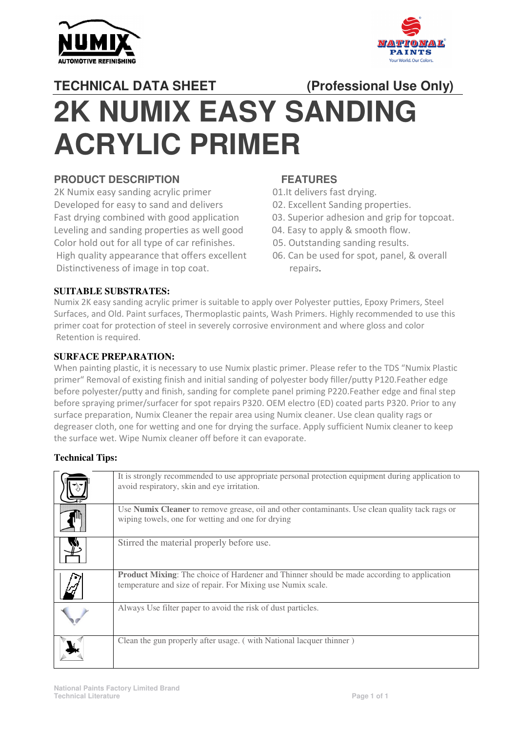



# **TECHNICAL DATA SHEET 2K NUMIX EASY SANDING ACRYLIC PRIMER SHEET (Professional Use Only)**

## **PRODUCT DESCRIPTION**

2K Numix easy sanding acrylic primer Developed for easy to sand and delivers Fast drying combined with good application Leveling and sanding properties as well good Color hold out for all type of car refinishes. High quality appearance that offers excellent 06. Can be used for spot, panel, & overall<br>Distinctiveness of image in top coat. repairs. Distinctiveness of image in top coat

## **FEATURES**

01.It delivers fast drying.

- 02. Excellent Sanding properties.
- 03. Superior adhesion and grip for topcoat.<br>04. Easy to apply & smooth flow.
- 04. Easy to apply & smooth flow.
- 05. Outstanding sanding results.
- 06. Can be used for spot, panel, & overall

#### **SUITABLE SUBSTRATES:**

Numix 2K easy sanding acrylic primer is suitable to apply over Polyester putties, Epoxy Primers, Steel Surfaces, and Old. Paint surfaces, Thermoplastic paints, Wash Primers. Highly recommended to use this primer coat for protection of steel in severely corrosive environment and where gloss and color Retention is required.

#### **SURFACE PREPARATION:**

When painting plastic, it is necessary to use Numix plastic primer. Please refer to the TDS "Numix Plastic primer" Removal of existing finish and initial sanding of polyester body filler/putty P120.Feather edge before polyester/putty and finish, sanding for complete panel priming P220.Feather edge and final step before spraying primer/surfacer for spot repairs P320. OEM electro (ED) coated parts P320. Prior to any surface preparation, Numix Cleaner the repair area using Numix cleaner. Use clean quality rags or degreaser cloth, one for wetting and one for drying the surface. Apply sufficient Numix cleaner to keep the surface wet. Wipe Numix cleaner off before it can evaporate.

#### **Technical Tips:**

| It is strongly recommended to use appropriate personal protection equipment during application to<br>avoid respiratory, skin and eye irritation.                 |
|------------------------------------------------------------------------------------------------------------------------------------------------------------------|
| Use Numix Cleaner to remove grease, oil and other contaminants. Use clean quality tack rags or<br>wiping towels, one for wetting and one for drying              |
| Stirred the material properly before use.                                                                                                                        |
| <b>Product Mixing:</b> The choice of Hardener and Thinner should be made according to application<br>temperature and size of repair. For Mixing use Numix scale. |
| Always Use filter paper to avoid the risk of dust particles.                                                                                                     |
| Clean the gun properly after usage. (with National lacquer thinner)                                                                                              |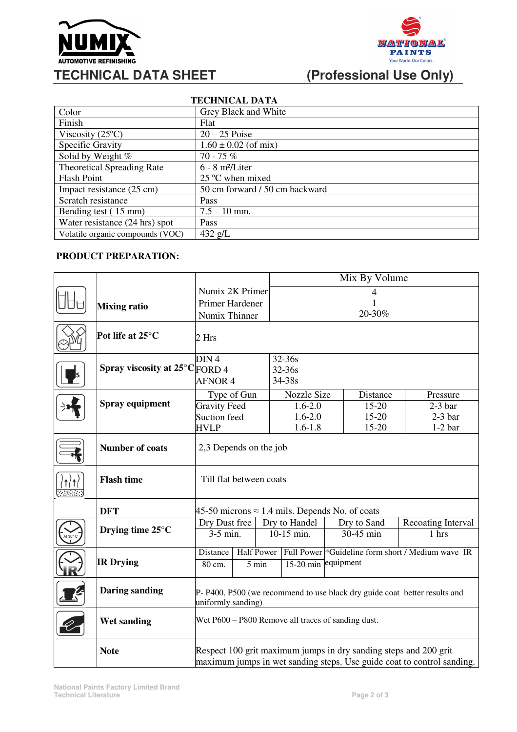



# **(Professional Use Only)**

| <b>TECHNICAL DATA</b>             |                                |  |  |  |  |  |  |
|-----------------------------------|--------------------------------|--|--|--|--|--|--|
| Color                             | Grey Black and White           |  |  |  |  |  |  |
| Finish                            | Flat                           |  |  |  |  |  |  |
| Viscosity $(25^{\circ}C)$         | $20 - 25$ Poise                |  |  |  |  |  |  |
| Specific Gravity                  | $1.60 \pm 0.02$ (of mix)       |  |  |  |  |  |  |
| Solid by Weight %                 | $70 - 75%$                     |  |  |  |  |  |  |
| <b>Theoretical Spreading Rate</b> | $6 - 8$ m <sup>2</sup> /Liter  |  |  |  |  |  |  |
| <b>Flash Point</b>                | $25^{\circ}$ C when mixed      |  |  |  |  |  |  |
| Impact resistance (25 cm)         | 50 cm forward / 50 cm backward |  |  |  |  |  |  |
| Scratch resistance                | Pass                           |  |  |  |  |  |  |
| Bending test (15 mm)              | $7.5 - 10$ mm.                 |  |  |  |  |  |  |
| Water resistance (24 hrs) spot    | Pass                           |  |  |  |  |  |  |
| Volatile organic compounds (VOC)  | $432$ g/L                      |  |  |  |  |  |  |

#### **PRODUCT PREPARATION:**

|  |                                |                                                                                                                                            |                   | Mix By Volume |                                                               |          |                    |  |
|--|--------------------------------|--------------------------------------------------------------------------------------------------------------------------------------------|-------------------|---------------|---------------------------------------------------------------|----------|--------------------|--|
|  |                                | Numix 2K Primer                                                                                                                            |                   | 4             |                                                               |          |                    |  |
|  | <b>Mixing ratio</b>            | Primer Hardener                                                                                                                            |                   |               |                                                               |          |                    |  |
|  |                                | Numix Thinner                                                                                                                              |                   |               |                                                               | 20-30%   |                    |  |
|  | Pot life at 25°C               | 2 Hrs                                                                                                                                      |                   |               |                                                               |          |                    |  |
|  |                                | DIN <sub>4</sub>                                                                                                                           |                   | 32-36s        |                                                               |          |                    |  |
|  | Spray viscosity at 25°C FORD 4 |                                                                                                                                            |                   | 32-36s        |                                                               |          |                    |  |
|  |                                | <b>AFNOR 4</b>                                                                                                                             |                   | 34-38s        |                                                               |          |                    |  |
|  | Spray equipment                | Type of Gun                                                                                                                                |                   | Nozzle Size   |                                                               | Distance | Pressure           |  |
|  |                                | <b>Gravity Feed</b>                                                                                                                        |                   | $1.6 - 2.0$   | 15-20                                                         |          | $2-3$ bar          |  |
|  |                                | Suction feed                                                                                                                               |                   | $1.6 - 2.0$   |                                                               | 15-20    | $2-3$ bar          |  |
|  |                                | <b>HVLP</b>                                                                                                                                |                   | $1.6 - 1.8$   |                                                               | 15-20    | $1-2$ bar          |  |
|  | <b>Number of coats</b>         | 2,3 Depends on the job                                                                                                                     |                   |               |                                                               |          |                    |  |
|  | <b>Flash time</b>              | Till flat between coats                                                                                                                    |                   |               |                                                               |          |                    |  |
|  | <b>DFT</b>                     | 45-50 microns $\approx$ 1.4 mils. Depends No. of coats                                                                                     |                   |               |                                                               |          |                    |  |
|  | Drying time $25^{\circ}$ C     | Dry Dust free                                                                                                                              |                   | Dry to Handel | Dry to Sand                                                   |          | Recoating Interval |  |
|  |                                | 3-5 min.                                                                                                                                   |                   | 10-15 min.    | 30-45 min                                                     |          | 1 hrs              |  |
|  | <b>IR Drying</b>               | Distance                                                                                                                                   | <b>Half Power</b> |               | Full Power <sup>*</sup> Guideline form short / Medium wave IR |          |                    |  |
|  |                                | 80 cm.                                                                                                                                     | 5 min             | $15-20$ min   | equipment                                                     |          |                    |  |
|  | <b>Daring sanding</b>          | P-P400, P500 (we recommend to use black dry guide coat better results and<br>uniformly sanding)                                            |                   |               |                                                               |          |                    |  |
|  | <b>Wet sanding</b>             | Wet P600 – P800 Remove all traces of sanding dust.                                                                                         |                   |               |                                                               |          |                    |  |
|  | <b>Note</b>                    | Respect 100 grit maximum jumps in dry sanding steps and 200 grit<br>maximum jumps in wet sanding steps. Use guide coat to control sanding. |                   |               |                                                               |          |                    |  |